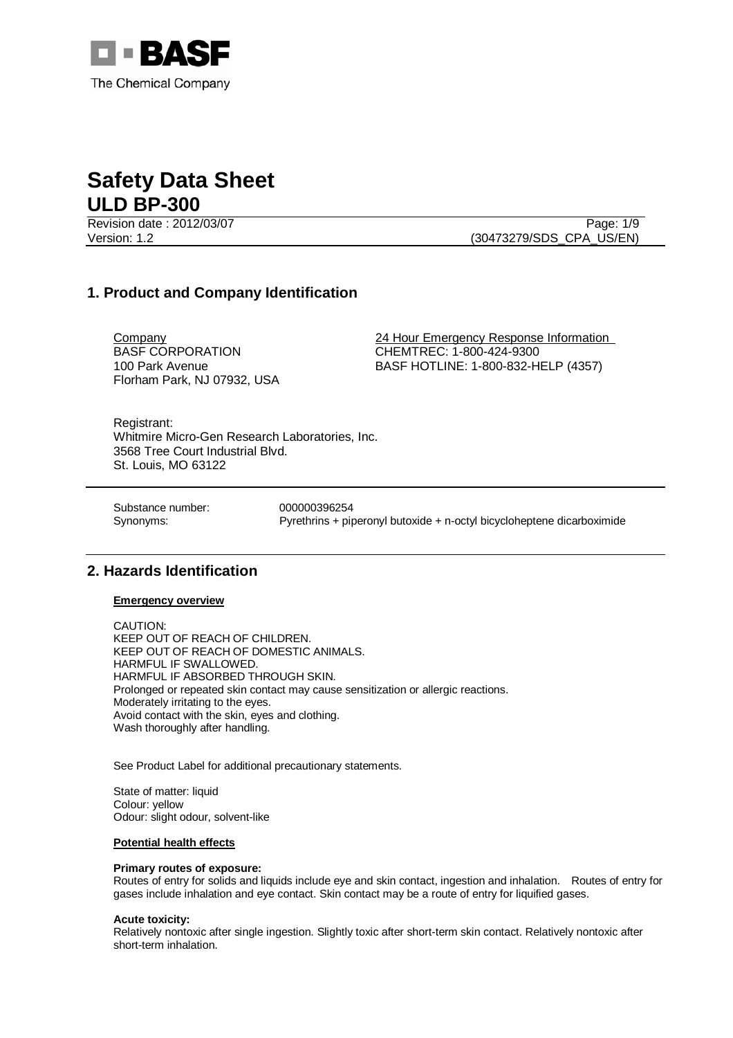

Revision date : 2012/03/07 Page: 1/9

Version: 1.2 (30473279/SDS\_CPA\_US/EN)

# **1. Product and Company Identification**

BASF CORPORATION 100 Park Avenue Florham Park, NJ 07932, USA

Company 24 Hour Emergency Response Information CHEMTREC: 1-800-424-9300 BASF HOTLINE: 1-800-832-HELP (4357)

Registrant: Whitmire Micro-Gen Research Laboratories, Inc. 3568 Tree Court Industrial Blvd. St. Louis, MO 63122

Substance number: 000000396254

Synonyms: Pyrethrins + piperonyl butoxide + n-octyl bicycloheptene dicarboximide

# **2. Hazards Identification**

## **Emergency overview**

CAUTION: KEEP OUT OF REACH OF CHILDREN. KEEP OUT OF REACH OF DOMESTIC ANIMALS. HARMFUL IF SWALLOWED. HARMFUL IF ABSORBED THROUGH SKIN. Prolonged or repeated skin contact may cause sensitization or allergic reactions. Moderately irritating to the eyes. Avoid contact with the skin, eyes and clothing. Wash thoroughly after handling.

See Product Label for additional precautionary statements.

State of matter: liquid Colour: yellow Odour: slight odour, solvent-like

## **Potential health effects**

## **Primary routes of exposure:**

Routes of entry for solids and liquids include eye and skin contact, ingestion and inhalation. Routes of entry for gases include inhalation and eye contact. Skin contact may be a route of entry for liquified gases.

#### **Acute toxicity:**

Relatively nontoxic after single ingestion. Slightly toxic after short-term skin contact. Relatively nontoxic after short-term inhalation.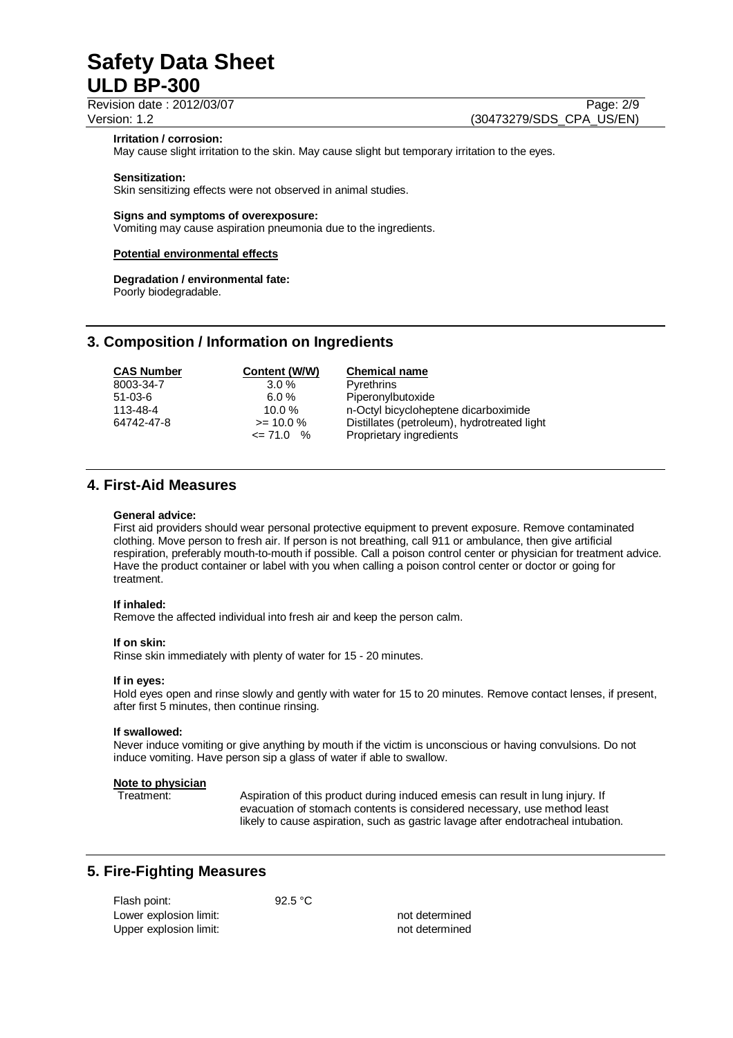Revision date : 2012/03/07 Page: 2/9

Version: 1.2 (30473279/SDS\_CPA\_US/EN)

### **Irritation / corrosion:**

May cause slight irritation to the skin. May cause slight but temporary irritation to the eyes.

#### **Sensitization:**

Skin sensitizing effects were not observed in animal studies.

### **Signs and symptoms of overexposure:**

Vomiting may cause aspiration pneumonia due to the ingredients.

## **Potential environmental effects**

# **Degradation / environmental fate:**

Poorly biodegradable.

# **3. Composition / Information on Ingredients**

| <b>CAS Number</b> | Content (W/W) | <b>Chemical name</b>                        |
|-------------------|---------------|---------------------------------------------|
| 8003-34-7         | $3.0\%$       | Pyrethrins                                  |
| $51 - 03 - 6$     | 6.0%          | Piperonylbutoxide                           |
| 113-48-4          | $10.0 \%$     | n-Octyl bicycloheptene dicarboximide        |
| 64742-47-8        | $>= 10.0 %$   | Distillates (petroleum), hydrotreated light |
|                   | $\leq$ 71.0 % | Proprietary ingredients                     |

# **4. First-Aid Measures**

#### **General advice:**

First aid providers should wear personal protective equipment to prevent exposure. Remove contaminated clothing. Move person to fresh air. If person is not breathing, call 911 or ambulance, then give artificial respiration, preferably mouth-to-mouth if possible. Call a poison control center or physician for treatment advice. Have the product container or label with you when calling a poison control center or doctor or going for treatment.

#### **If inhaled:**

Remove the affected individual into fresh air and keep the person calm.

#### **If on skin:**

Rinse skin immediately with plenty of water for 15 - 20 minutes.

## **If in eyes:**

Hold eyes open and rinse slowly and gently with water for 15 to 20 minutes. Remove contact lenses, if present, after first 5 minutes, then continue rinsing.

## **If swallowed:**

Never induce vomiting or give anything by mouth if the victim is unconscious or having convulsions. Do not induce vomiting. Have person sip a glass of water if able to swallow.

## **Note to physician**

Treatment: Aspiration of this product during induced emesis can result in lung injury. If evacuation of stomach contents is considered necessary, use method least likely to cause aspiration, such as gastric lavage after endotracheal intubation.

# **5. Fire-Fighting Measures**

| Flash point:           | 92.5 °C |                |
|------------------------|---------|----------------|
| Lower explosion limit: |         | not determined |
| Upper explosion limit: |         | not determined |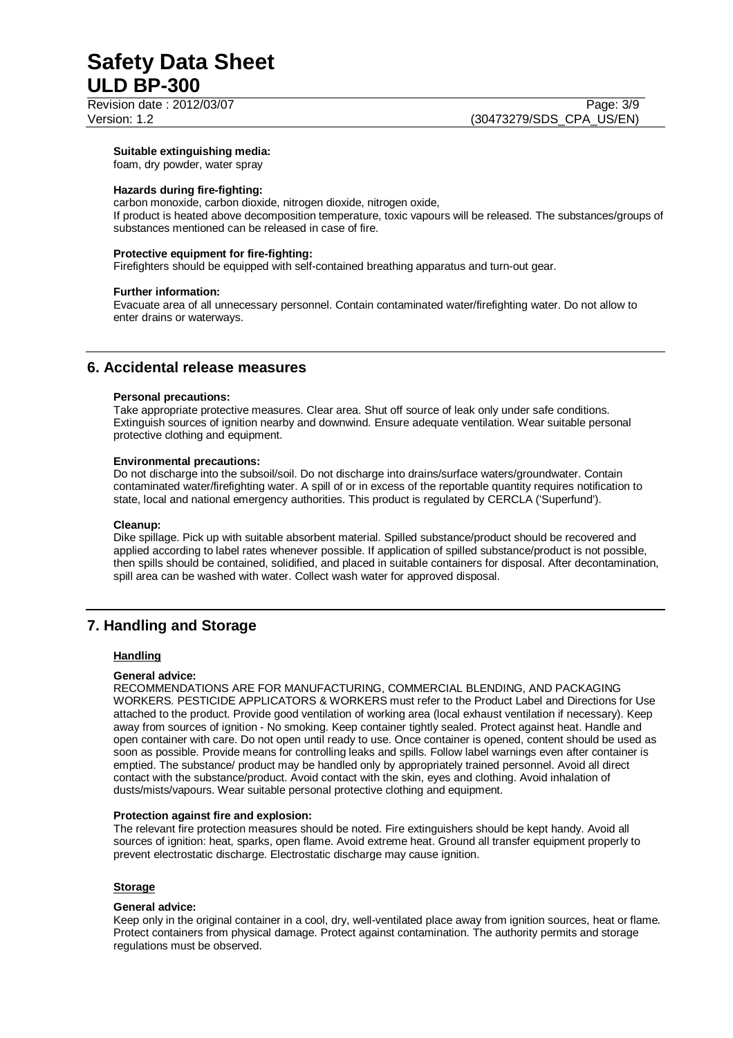Revision date : 2012/03/07 Page: 3/9

#### **Suitable extinguishing media:**

foam, dry powder, water spray

### **Hazards during fire-fighting:**

carbon monoxide, carbon dioxide, nitrogen dioxide, nitrogen oxide, If product is heated above decomposition temperature, toxic vapours will be released. The substances/groups of substances mentioned can be released in case of fire.

### **Protective equipment for fire-fighting:**

Firefighters should be equipped with self-contained breathing apparatus and turn-out gear.

#### **Further information:**

Evacuate area of all unnecessary personnel. Contain contaminated water/firefighting water. Do not allow to enter drains or waterways.

# **6. Accidental release measures**

#### **Personal precautions:**

Take appropriate protective measures. Clear area. Shut off source of leak only under safe conditions. Extinguish sources of ignition nearby and downwind. Ensure adequate ventilation. Wear suitable personal protective clothing and equipment.

#### **Environmental precautions:**

Do not discharge into the subsoil/soil. Do not discharge into drains/surface waters/groundwater. Contain contaminated water/firefighting water. A spill of or in excess of the reportable quantity requires notification to state, local and national emergency authorities. This product is regulated by CERCLA ('Superfund').

#### **Cleanup:**

Dike spillage. Pick up with suitable absorbent material. Spilled substance/product should be recovered and applied according to label rates whenever possible. If application of spilled substance/product is not possible, then spills should be contained, solidified, and placed in suitable containers for disposal. After decontamination, spill area can be washed with water. Collect wash water for approved disposal.

# **7. Handling and Storage**

## **Handling**

#### **General advice:**

RECOMMENDATIONS ARE FOR MANUFACTURING, COMMERCIAL BLENDING, AND PACKAGING WORKERS. PESTICIDE APPLICATORS & WORKERS must refer to the Product Label and Directions for Use attached to the product. Provide good ventilation of working area (local exhaust ventilation if necessary). Keep away from sources of ignition - No smoking. Keep container tightly sealed. Protect against heat. Handle and open container with care. Do not open until ready to use. Once container is opened, content should be used as soon as possible. Provide means for controlling leaks and spills. Follow label warnings even after container is emptied. The substance/ product may be handled only by appropriately trained personnel. Avoid all direct contact with the substance/product. Avoid contact with the skin, eyes and clothing. Avoid inhalation of dusts/mists/vapours. Wear suitable personal protective clothing and equipment.

#### **Protection against fire and explosion:**

The relevant fire protection measures should be noted. Fire extinguishers should be kept handy. Avoid all sources of ignition: heat, sparks, open flame. Avoid extreme heat. Ground all transfer equipment properly to prevent electrostatic discharge. Electrostatic discharge may cause ignition.

## **Storage**

## **General advice:**

Keep only in the original container in a cool, dry, well-ventilated place away from ignition sources, heat or flame. Protect containers from physical damage. Protect against contamination. The authority permits and storage regulations must be observed.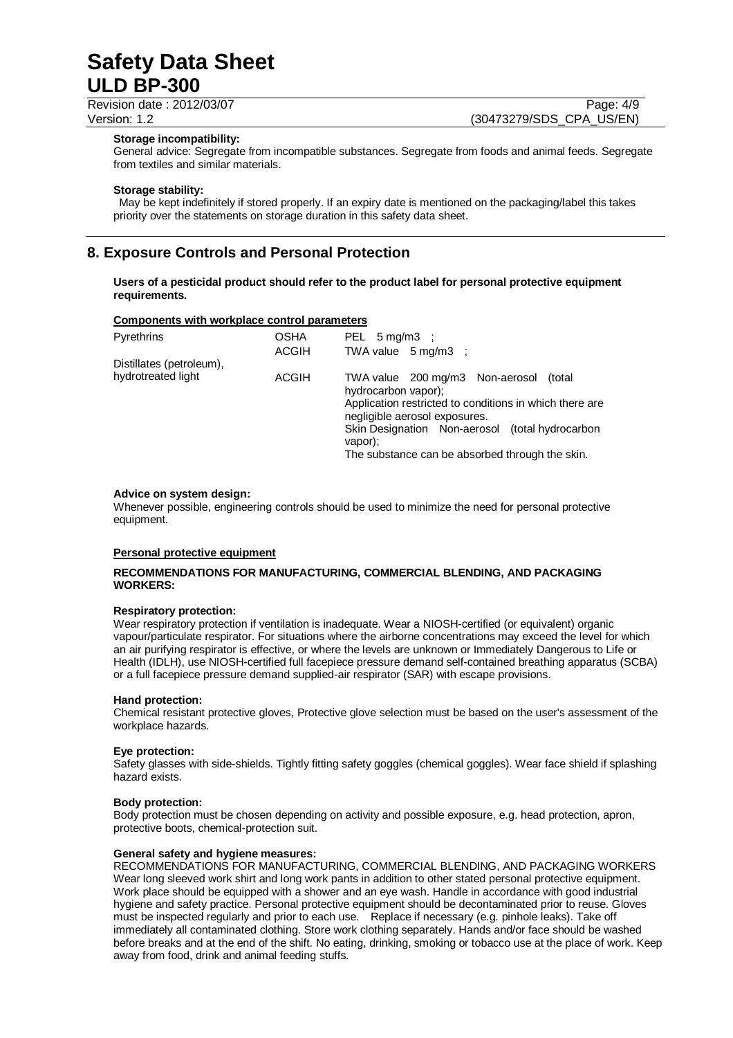Revision date : 2012/03/07 Page: 4/9

Version: 1.2 (30473279/SDS\_CPA\_US/EN)

#### **Storage incompatibility:**

General advice: Segregate from incompatible substances. Segregate from foods and animal feeds. Segregate from textiles and similar materials.

### **Storage stability:**

 May be kept indefinitely if stored properly. If an expiry date is mentioned on the packaging/label this takes priority over the statements on storage duration in this safety data sheet.

# **8. Exposure Controls and Personal Protection**

**Users of a pesticidal product should refer to the product label for personal protective equipment requirements.** 

#### **Components with workplace control parameters**

| Pyrethrins               | <b>OSHA</b><br><b>ACGIH</b> | PEL $5 \text{ mg/m3}$ :<br>TWA value 5 mg/m3 ;                                                                                                                                                                                                                                |
|--------------------------|-----------------------------|-------------------------------------------------------------------------------------------------------------------------------------------------------------------------------------------------------------------------------------------------------------------------------|
| Distillates (petroleum), |                             |                                                                                                                                                                                                                                                                               |
| hydrotreated light       | <b>ACGIH</b>                | TWA value 200 mg/m3 Non-aerosol<br>(total<br>hydrocarbon vapor);<br>Application restricted to conditions in which there are<br>negligible aerosol exposures.<br>Skin Designation Non-aerosol (total hydrocarbon<br>vapor);<br>The substance can be absorbed through the skin. |

#### **Advice on system design:**

Whenever possible, engineering controls should be used to minimize the need for personal protective equipment.

#### **Personal protective equipment**

## **RECOMMENDATIONS FOR MANUFACTURING, COMMERCIAL BLENDING, AND PACKAGING WORKERS:**

#### **Respiratory protection:**

Wear respiratory protection if ventilation is inadequate. Wear a NIOSH-certified (or equivalent) organic vapour/particulate respirator. For situations where the airborne concentrations may exceed the level for which an air purifying respirator is effective, or where the levels are unknown or Immediately Dangerous to Life or Health (IDLH), use NIOSH-certified full facepiece pressure demand self-contained breathing apparatus (SCBA) or a full facepiece pressure demand supplied-air respirator (SAR) with escape provisions.

## **Hand protection:**

Chemical resistant protective gloves, Protective glove selection must be based on the user's assessment of the workplace hazards.

#### **Eye protection:**

Safety glasses with side-shields. Tightly fitting safety goggles (chemical goggles). Wear face shield if splashing hazard exists.

#### **Body protection:**

Body protection must be chosen depending on activity and possible exposure, e.g. head protection, apron, protective boots, chemical-protection suit.

#### **General safety and hygiene measures:**

RECOMMENDATIONS FOR MANUFACTURING, COMMERCIAL BLENDING, AND PACKAGING WORKERS Wear long sleeved work shirt and long work pants in addition to other stated personal protective equipment. Work place should be equipped with a shower and an eye wash. Handle in accordance with good industrial hygiene and safety practice. Personal protective equipment should be decontaminated prior to reuse. Gloves must be inspected regularly and prior to each use. Replace if necessary (e.g. pinhole leaks). Take off immediately all contaminated clothing. Store work clothing separately. Hands and/or face should be washed before breaks and at the end of the shift. No eating, drinking, smoking or tobacco use at the place of work. Keep away from food, drink and animal feeding stuffs.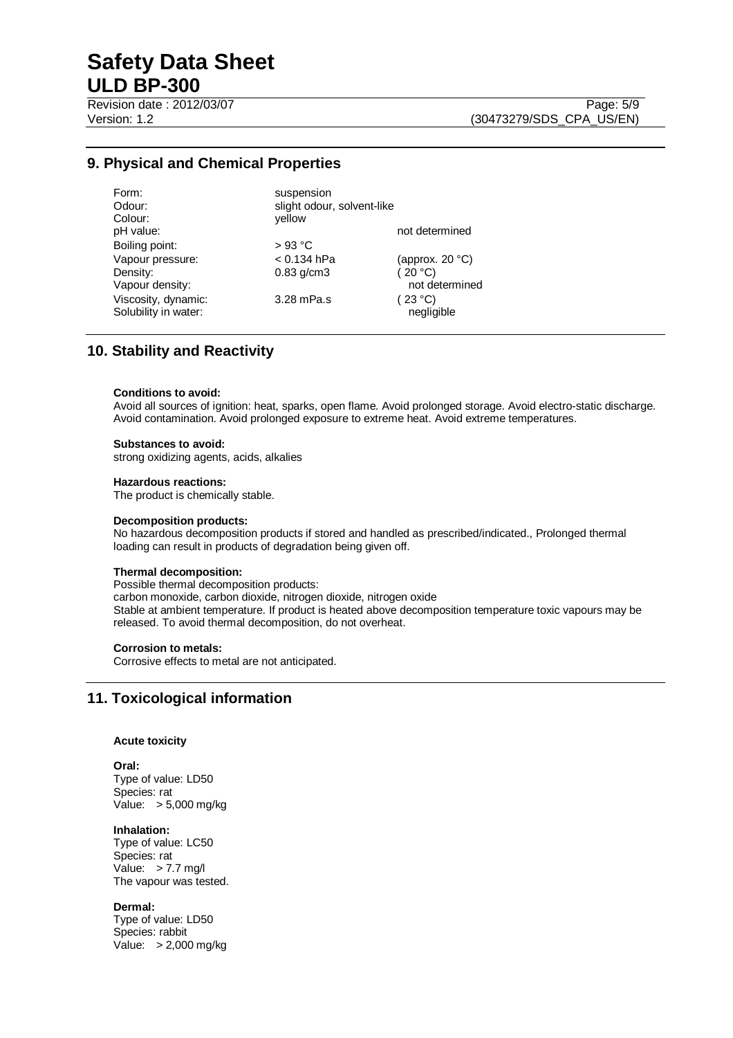Revision date : 2012/03/07 Page: 5/9

# **9. Physical and Chemical Properties**

| Form:                                       | suspension                 |                       |
|---------------------------------------------|----------------------------|-----------------------|
| Odour:                                      | slight odour, solvent-like |                       |
| Colour:                                     | vellow                     |                       |
| pH value:                                   |                            | not determined        |
| Boiling point:                              | $>93$ °C                   |                       |
| Vapour pressure:                            | $< 0.134$ hPa              | (approx. $20 °C$ )    |
| Density:                                    | $0.83$ g/cm $3$            | (20 °C)               |
| Vapour density:                             |                            | not determined        |
| Viscosity, dynamic:<br>Solubility in water: | 3.28 mPa.s                 | (23 °C)<br>negligible |
|                                             |                            |                       |

# **10. Stability and Reactivity**

#### **Conditions to avoid:**

Avoid all sources of ignition: heat, sparks, open flame. Avoid prolonged storage. Avoid electro-static discharge. Avoid contamination. Avoid prolonged exposure to extreme heat. Avoid extreme temperatures.

#### **Substances to avoid:**

strong oxidizing agents, acids, alkalies

#### **Hazardous reactions:**

The product is chemically stable.

#### **Decomposition products:**

No hazardous decomposition products if stored and handled as prescribed/indicated., Prolonged thermal loading can result in products of degradation being given off.

## **Thermal decomposition:**

Possible thermal decomposition products: carbon monoxide, carbon dioxide, nitrogen dioxide, nitrogen oxide Stable at ambient temperature. If product is heated above decomposition temperature toxic vapours may be released. To avoid thermal decomposition, do not overheat.

## **Corrosion to metals:**

Corrosive effects to metal are not anticipated.

# **11. Toxicological information**

## **Acute toxicity**

**Oral:**

Type of value: LD50 Species: rat Value: > 5,000 mg/kg

#### **Inhalation:**

Type of value: LC50 Species: rat Value: > 7.7 mg/l The vapour was tested.

## **Dermal:**

Type of value: LD50 Species: rabbit Value: > 2,000 mg/kg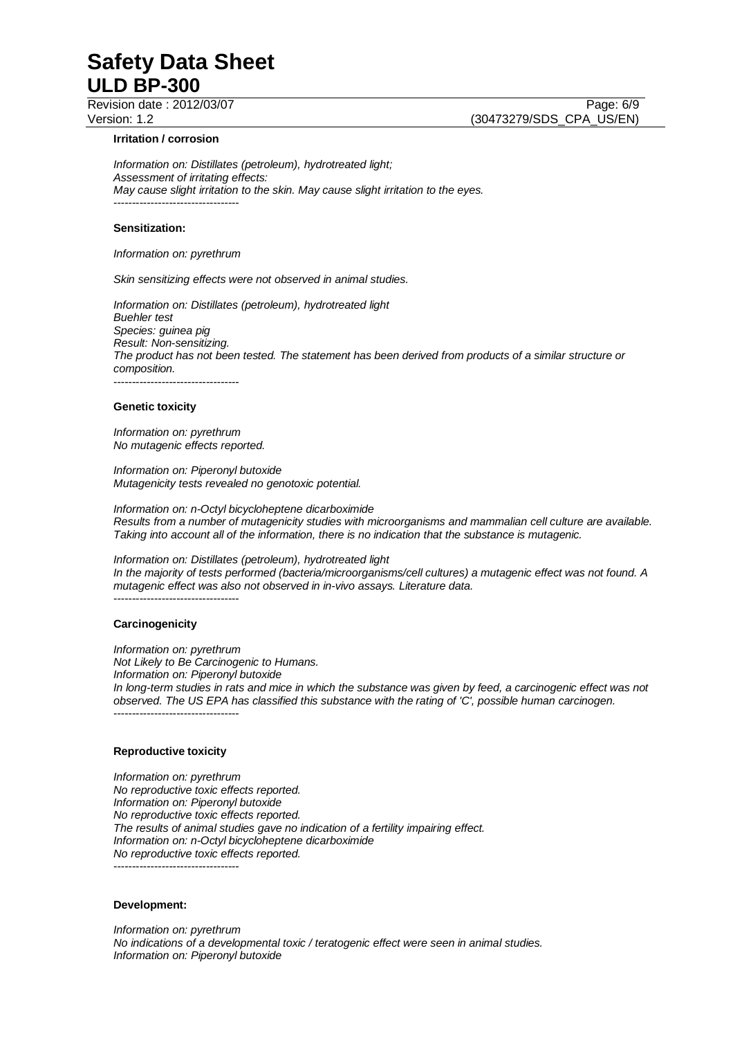Revision date : 2012/03/07 Page: 6/9

#### **Irritation / corrosion**

*Information on: Distillates (petroleum), hydrotreated light; Assessment of irritating effects: May cause slight irritation to the skin. May cause slight irritation to the eyes.*  ----------------------------------

#### **Sensitization:**

*Information on: pyrethrum* 

*Skin sensitizing effects were not observed in animal studies.* 

*Information on: Distillates (petroleum), hydrotreated light Buehler test Species: guinea pig Result: Non-sensitizing. The product has not been tested. The statement has been derived from products of a similar structure or composition.*  ----------------------------------

#### **Genetic toxicity**

*Information on: pyrethrum No mutagenic effects reported.* 

*Information on: Piperonyl butoxide Mutagenicity tests revealed no genotoxic potential.* 

*Information on: n-Octyl bicycloheptene dicarboximide Results from a number of mutagenicity studies with microorganisms and mammalian cell culture are available. Taking into account all of the information, there is no indication that the substance is mutagenic.* 

#### *Information on: Distillates (petroleum), hydrotreated light*

*In the majority of tests performed (bacteria/microorganisms/cell cultures) a mutagenic effect was not found. A mutagenic effect was also not observed in in-vivo assays. Literature data.* 

## **Carcinogenicity**

----------------------------------

*Information on: pyrethrum Not Likely to Be Carcinogenic to Humans. Information on: Piperonyl butoxide In long-term studies in rats and mice in which the substance was given by feed, a carcinogenic effect was not observed. The US EPA has classified this substance with the rating of 'C', possible human carcinogen.*  ----------------------------------

#### **Reproductive toxicity**

*Information on: pyrethrum No reproductive toxic effects reported. Information on: Piperonyl butoxide No reproductive toxic effects reported. The results of animal studies gave no indication of a fertility impairing effect. Information on: n-Octyl bicycloheptene dicarboximide No reproductive toxic effects reported.*  ----------------------------------

#### **Development:**

*Information on: pyrethrum No indications of a developmental toxic / teratogenic effect were seen in animal studies. Information on: Piperonyl butoxide*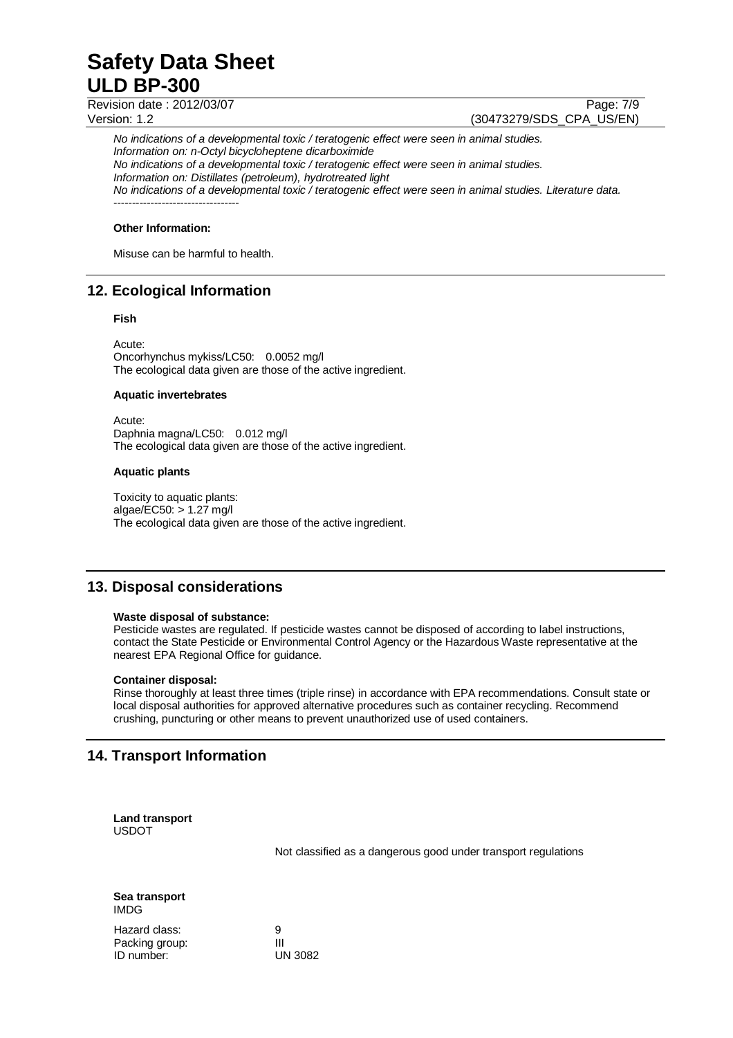Revision date : 2012/03/07 Page: 7/9

Version: 1.2 (30473279/SDS\_CPA\_US/EN)

*No indications of a developmental toxic / teratogenic effect were seen in animal studies. Information on: n-Octyl bicycloheptene dicarboximide No indications of a developmental toxic / teratogenic effect were seen in animal studies. Information on: Distillates (petroleum), hydrotreated light No indications of a developmental toxic / teratogenic effect were seen in animal studies. Literature data.*  ----------------------------------

## **Other Information:**

Misuse can be harmful to health.

# **12. Ecological Information**

## **Fish**

Acute: Oncorhynchus mykiss/LC50: 0.0052 mg/l The ecological data given are those of the active ingredient.

## **Aquatic invertebrates**

Acute: Daphnia magna/LC50: 0.012 mg/l The ecological data given are those of the active ingredient.

## **Aquatic plants**

Toxicity to aquatic plants: algae/EC50: > 1.27 mg/l The ecological data given are those of the active ingredient.

# **13. Disposal considerations**

## **Waste disposal of substance:**

Pesticide wastes are regulated. If pesticide wastes cannot be disposed of according to label instructions, contact the State Pesticide or Environmental Control Agency or the Hazardous Waste representative at the nearest EPA Regional Office for guidance.

## **Container disposal:**

Rinse thoroughly at least three times (triple rinse) in accordance with EPA recommendations. Consult state or local disposal authorities for approved alternative procedures such as container recycling. Recommend crushing, puncturing or other means to prevent unauthorized use of used containers.

# **14. Transport Information**

**Land transport**  USDOT

Not classified as a dangerous good under transport regulations

**Sea transport**  IMDG

Hazard class: 9<br>Packing group: 11 Packing group: III<br>
ID number: UN 3082 ID number: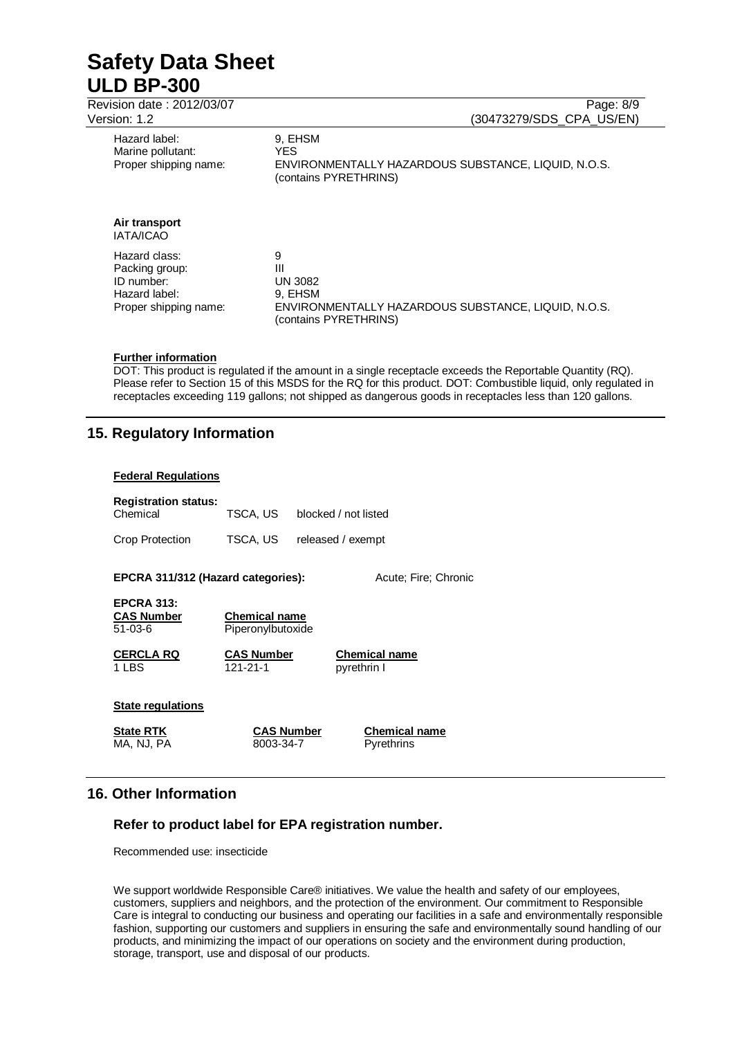| <u>JIJII.IL</u>                                                                         | 007702797000 0171 0076                                                                                              |
|-----------------------------------------------------------------------------------------|---------------------------------------------------------------------------------------------------------------------|
| Hazard label:<br>Marine pollutant:<br>Proper shipping name:                             | 9. EHSM<br><b>YFS</b><br>ENVIRONMENTALLY HAZARDOUS SUBSTANCE, LIQUID, N.O.S.<br>(contains PYRETHRINS)               |
| Air transport<br><b>IATA/ICAO</b>                                                       |                                                                                                                     |
| Hazard class:<br>Packing group:<br>ID number:<br>Hazard label:<br>Proper shipping name: | 9<br>Ш<br><b>UN 3082</b><br>9. EHSM<br>ENVIRONMENTALLY HAZARDOUS SUBSTANCE, LIQUID, N.O.S.<br>(contains PYRETHRINS) |

## **Further information**

DOT: This product is regulated if the amount in a single receptacle exceeds the Reportable Quantity (RQ). Please refer to Section 15 of this MSDS for the RQ for this product. DOT: Combustible liquid, only regulated in receptacles exceeding 119 gallons; not shipped as dangerous goods in receptacles less than 120 gallons.

# **15. Regulatory Information**

## **Federal Regulations**

| <b>Registration status:</b><br>Chemical | TSCA. US | blocked / not listed |
|-----------------------------------------|----------|----------------------|
| Crop Protection                         | TSCA. US | released / exempt    |

**EPCRA 311/312 (Hazard categories):** Acute; Fire; Chronic

| <b>EPCRA 313:</b> |  |
|-------------------|--|
| <b>CAS Number</b> |  |
| 51-03-6           |  |

**Chemical name** Piperonylbutoxide

**CERCLA RQ CAS Number Chemical name**

1 LBS 121-21-1 pyrethrin I

## **State regulations**

**State RTK CAS Number Chemical name** 

MA, NJ, PA 8003-34-7 Pyrethrins

# **16. Other Information**

# **Refer to product label for EPA registration number.**

Recommended use: insecticide

We support worldwide Responsible Care® initiatives. We value the health and safety of our employees, customers, suppliers and neighbors, and the protection of the environment. Our commitment to Responsible Care is integral to conducting our business and operating our facilities in a safe and environmentally responsible fashion, supporting our customers and suppliers in ensuring the safe and environmentally sound handling of our products, and minimizing the impact of our operations on society and the environment during production, storage, transport, use and disposal of our products.